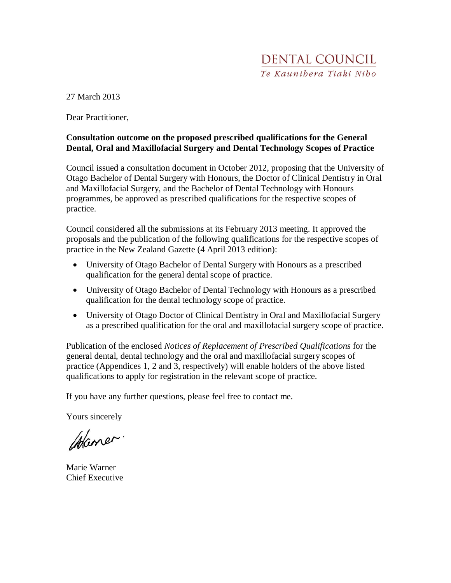27 March 2013

Dear Practitioner,

## **Consultation outcome on the proposed prescribed qualifications for the General Dental, Oral and Maxillofacial Surgery and Dental Technology Scopes of Practice**

Council issued a consultation document in October 2012, proposing that the University of Otago Bachelor of Dental Surgery with Honours, the Doctor of Clinical Dentistry in Oral and Maxillofacial Surgery, and the Bachelor of Dental Technology with Honours programmes, be approved as prescribed qualifications for the respective scopes of practice.

Council considered all the submissions at its February 2013 meeting. It approved the proposals and the publication of the following qualifications for the respective scopes of practice in the New Zealand Gazette (4 April 2013 edition):

- University of Otago Bachelor of Dental Surgery with Honours as a prescribed qualification for the general dental scope of practice.
- University of Otago Bachelor of Dental Technology with Honours as a prescribed qualification for the dental technology scope of practice.
- University of Otago Doctor of Clinical Dentistry in Oral and Maxillofacial Surgery as a prescribed qualification for the oral and maxillofacial surgery scope of practice.

Publication of the enclosed *Notices of Replacement of Prescribed Qualifications* for the general dental, dental technology and the oral and maxillofacial surgery scopes of practice (Appendices 1, 2 and 3, respectively) will enable holders of the above listed qualifications to apply for registration in the relevant scope of practice.

If you have any further questions, please feel free to contact me.

Yours sincerely

Chaner.

Marie Warner Chief Executive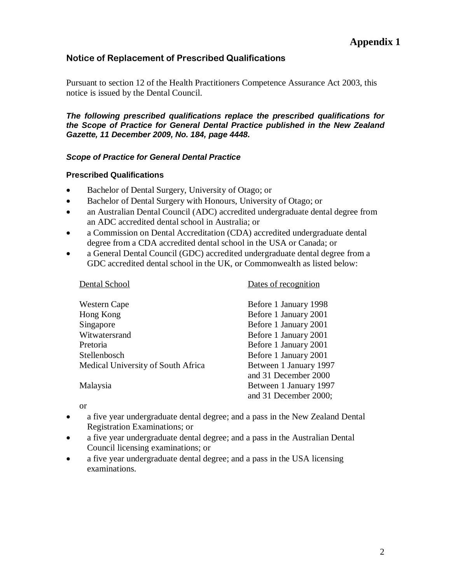## Notice of Replacement of Prescribed Qualifications

Pursuant to section 12 of the Health Practitioners Competence Assurance Act 2003, this notice is issued by the Dental Council.

**The following prescribed qualifications replace the prescribed qualifications for the Scope of Practice for General Dental Practice published in the New Zealand Gazette, 11 December 2009, No. 184, page 4448.** 

## **Scope of Practice for General Dental Practice**

#### **Prescribed Qualifications**

- Bachelor of Dental Surgery, University of Otago; or
- Bachelor of Dental Surgery with Honours, University of Otago; or
- an Australian Dental Council (ADC) accredited undergraduate dental degree from an ADC accredited dental school in Australia; or
- a Commission on Dental Accreditation (CDA) accredited undergraduate dental degree from a CDA accredited dental school in the USA or Canada; or
- a General Dental Council (GDC) accredited undergraduate dental degree from a GDC accredited dental school in the UK, or Commonwealth as listed below:

| Western Cape                       | Before 1 January 1998  |
|------------------------------------|------------------------|
| Hong Kong                          | Before 1 January 2001  |
| Singapore                          | Before 1 January 2001  |
| Witwatersrand                      | Before 1 January 2001  |
| Pretoria                           | Before 1 January 2001  |
| Stellenbosch                       | Before 1 January 2001  |
| Medical University of South Africa | Between 1 January 1997 |
|                                    | and 31 December 2000   |
| Malaysia                           | Between 1 January 1997 |
|                                    | and 31 December 2000;  |
|                                    |                        |

Dental School Dates of recognition

or

- a five year undergraduate dental degree; and a pass in the New Zealand Dental Registration Examinations; or
- a five year undergraduate dental degree; and a pass in the Australian Dental Council licensing examinations; or
- a five year undergraduate dental degree; and a pass in the USA licensing examinations.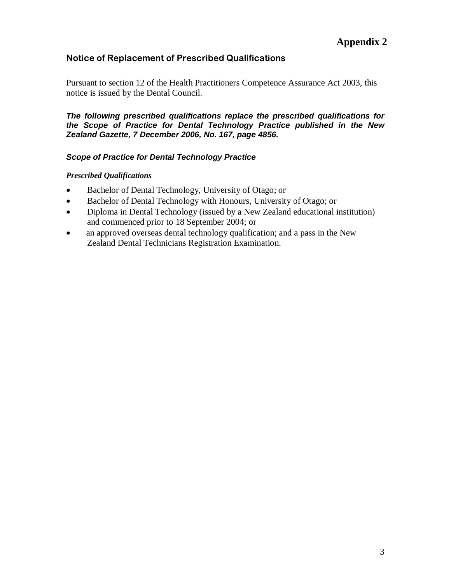# Notice of Replacement of Prescribed Qualifications

Pursuant to section 12 of the Health Practitioners Competence Assurance Act 2003, this notice is issued by the Dental Council.

**The following prescribed qualifications replace the prescribed qualifications for the Scope of Practice for Dental Technology Practice published in the New Zealand Gazette, 7 December 2006, No. 167, page 4856.** 

### **Scope of Practice for Dental Technology Practice**

#### *Prescribed Qualifications*

- Bachelor of Dental Technology, University of Otago; or
- Bachelor of Dental Technology with Honours, University of Otago; or
- Diploma in Dental Technology (issued by a New Zealand educational institution) and commenced prior to 18 September 2004; or
- an approved overseas dental technology qualification; and a pass in the New Zealand Dental Technicians Registration Examination.